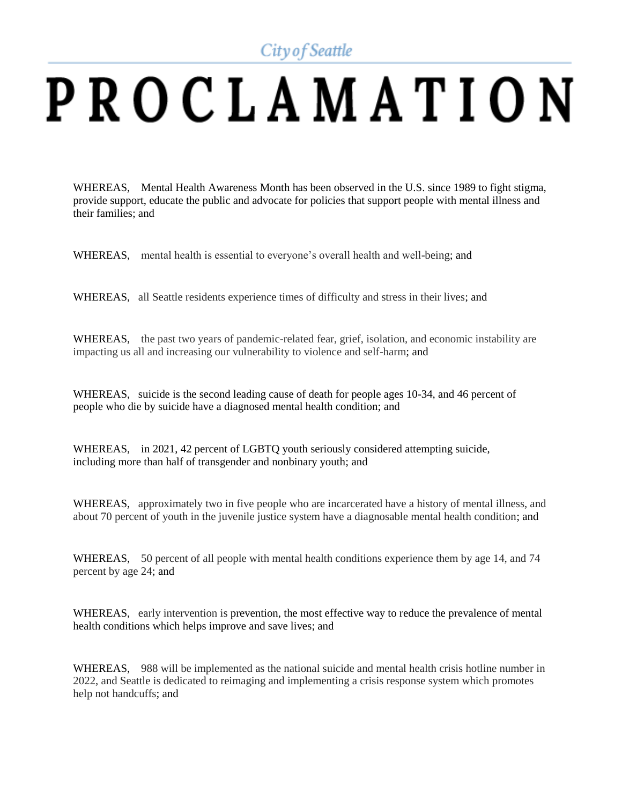City of Seattle

## PROCLAMATION

WHEREAS, Mental Health Awareness Month has been observed in the U.S. since 1989 to fight stigma, provide support, educate the public and advocate for policies that support people with mental illness and their families; and

WHEREAS, mental health is essential to everyone's overall health and well-being; and

WHEREAS, all Seattle residents experience times of difficulty and stress in their lives; and

WHEREAS, the past two years of pandemic-related fear, grief, isolation, and economic instability are impacting us all and increasing our vulnerability to violence and self-harm; and

WHEREAS, suicide is the second leading cause of death for people ages 10-34, and 46 percent of people who die by suicide have a diagnosed mental health condition; and

WHEREAS, in 2021, 42 percent of LGBTQ youth seriously considered attempting suicide, including more than half of transgender and nonbinary youth; and

WHEREAS, approximately two in five people who are incarcerated have a history of mental illness, and about 70 percent of youth in the juvenile justice system have a diagnosable mental health condition; and

WHEREAS, 50 percent of all people with mental health conditions experience them by age 14, and 74 percent by age 24; and

WHEREAS, early intervention is prevention, the most effective way to reduce the prevalence of mental health conditions which helps improve and save lives; and

WHEREAS, 988 will be implemented as the national suicide and mental health crisis hotline number in 2022, and Seattle is dedicated to reimaging and implementing a crisis response system which promotes help not handcuffs; and